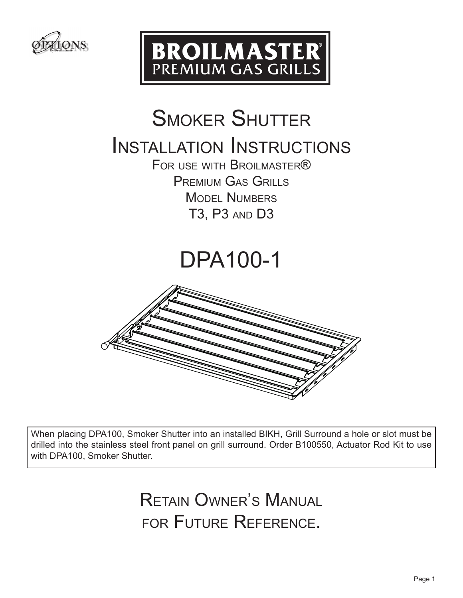



## **SMOKER SHUTTER**

### Installation Instructions

FOR USE WITH BROILMASTER® Premium Gas Grills MODEL NUMBERS T3, P3 and D3

## DPA100-1



When placing DPA100, Smoker Shutter into an installed BIKH, Grill Surround a hole or slot must be drilled into the stainless steel front panel on grill surround. Order B100550, Actuator Rod Kit to use with DPA100, Smoker Shutter.

> Retain Owner's Manual for Future Reference.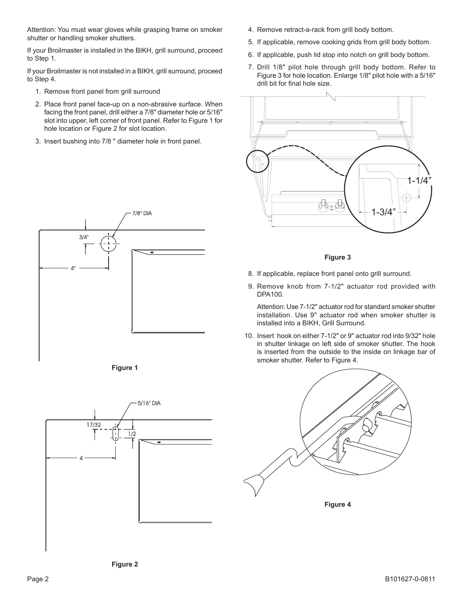Attention: You must wear gloves while grasping frame on smoker shutter or handling smoker shutters.

If your Broilmaster is installed in the BIKH, grill surround, proceed to Step 1.

If your Broilmaster is not installed in a BIKH, grill surround, proceed to Step 4.

- 1. Remove front panel from grill surround
- 2. Place front panel face-up on a non-abrasive surface. When facing the front panel, drill either a 7/8" diameter hole or 5/16" slot into upper, left corner of front panel. Refer to Figure 1 for hole location or Figure 2 for slot location.
- 3. Insert bushing into 7/8 " diameter hole in front panel.





 $1/2$ 

17/32

5/16" DIA

- 4. Remove retract-a-rack from grill body bottom.
- 5. If applicable, remove cooking grids from grill body bottom.
- 6. If applicable, push lid stop into notch on grill body bottom.
- 7. Drill 1/8" pilot hole through grill body bottom. Refer to Figure 3 for hole location. Enlarge 1/8" pilot hole with a 5/16" drill bit for final hole size.



#### **Figure 3**

- 8. If applicable, replace front panel onto grill surround.
- 9. Remove knob from 7-1/2" actuator rod provided with DPA100.

 Attention: Use 7-1/2" actuator rod for standard smoker shutter installation. Use 9" actuator rod when smoker shutter is installed into a BIKH, Grill Surround.

10. Insert hook on either 7-1/2" or 9" actuator rod into 9/32" hole in shutter linkage on left side of smoker shutter. The hook is inserted from the outside to the inside on linkage bar of smoker shutter. Refer to Figure 4.



**Figure 2**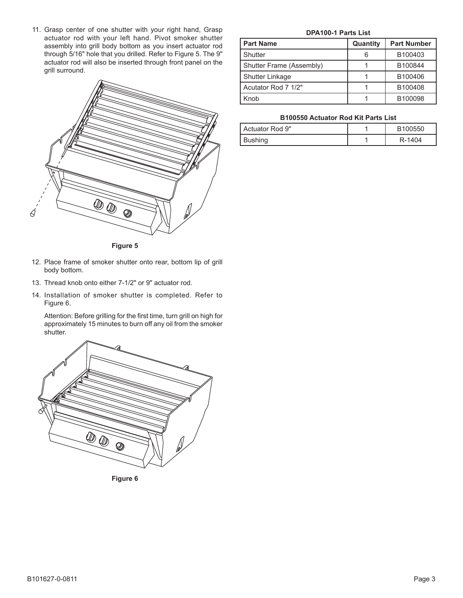11. Grasp center of one shutter with your right hand, Grasp actuator rod with your left hand. Pivot smoker shutter assembly into grill body bottom as you insert actuator rod through 5/16" hole that you drilled. Refer to Figure 5. The 9" actuator rod will also be inserted through front panel on the grill surround.



**Figure 5**

- 12. Place frame of smoker shutter onto rear, bottom lip of grill body bottom.
- 13. Thread knob onto either 7-1/2" or 9" actuator rod.
- 14. Installation of smoker shutter is completed. Refer to Figure 6.

Attention: Before grilling for the first time, turn grill on high for approximately 15 minutes to burn off any oil from the smoker shutter.



**Figure 6**

#### **DPA100-1 Parts List**

| <b>Part Name</b>         | Quantity | <b>Part Number</b> |
|--------------------------|----------|--------------------|
| Shutter                  |          | B100403            |
| Shutter Frame (Assembly) |          | B100844            |
| Shutter Linkage          |          | B100406            |
| Acutator Rod 7 1/2"      |          | B100408            |
| Knob                     |          | B100098            |

#### **B100550 Actuator Rod Kit Parts List**

| I Actuator Rod 9" | B100550 |
|-------------------|---------|
| Bushing           | R-1404  |